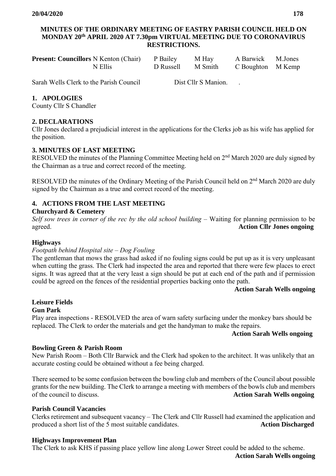#### **MINUTES OF THE ORDINARY MEETING OF EASTRY PARISH COUNCIL HELD ON MONDAY 20th APRIL 2020 AT 7.30pm VIRTUAL MEETING DUE TO CORONAVIRUS RESTRICTIONS.**

| <b>Present: Councillors</b> N Kenton (Chair) P Bailey M Hay |                   | A Barwick M.Jones |  |
|-------------------------------------------------------------|-------------------|-------------------|--|
| N Ellis                                                     | D Russell M Smith | C Boughton M Kemp |  |

Sarah Wells Clerk to the Parish Council Dist Cllr S Manion.

# **1. APOLOGIES**

County Cllr S Chandler

## **2. DECLARATIONS**

Cllr Jones declared a prejudicial interest in the applications for the Clerks job as his wife has applied for the position.

## **3. MINUTES OF LAST MEETING**

RESOLVED the minutes of the Planning Committee Meeting held on 2<sup>nd</sup> March 2020 are duly signed by the Chairman as a true and correct record of the meeting.

RESOLVED the minutes of the Ordinary Meeting of the Parish Council held on 2<sup>nd</sup> March 2020 are duly signed by the Chairman as a true and correct record of the meeting.

# **4. ACTIONS FROM THE LAST MEETING**

## **Churchyard & Cemetery**

*Self sow trees in corner of the rec by the old school building* – Waiting for planning permission to be agreed. **Action Cllr Jones ongoing** 

## **Highways**

## *Footpath behind Hospital site – Dog Fouling*

The gentleman that mows the grass had asked if no fouling signs could be put up as it is very unpleasant when cutting the grass. The Clerk had inspected the area and reported that there were few places to erect signs. It was agreed that at the very least a sign should be put at each end of the path and if permission could be agreed on the fences of the residential properties backing onto the path.

#### **Action Sarah Wells ongoing**

#### **Leisure Fields Gun Park**

Play area inspections - RESOLVED the area of warn safety surfacing under the monkey bars should be replaced. The Clerk to order the materials and get the handyman to make the repairs.

## **Action Sarah Wells ongoing**

## **Bowling Green & Parish Room**

New Parish Room – Both Cllr Barwick and the Clerk had spoken to the architect. It was unlikely that an accurate costing could be obtained without a fee being charged.

There seemed to be some confusion between the bowling club and members of the Council about possible grants for the new building. The Clerk to arrange a meeting with members of the bowls club and members of the council to discuss. **Action Sarah Wells ongoing**

## **Parish Council Vacancies**

Clerks retirement and subsequent vacancy – The Clerk and Cllr Russell had examined the application and produced a short list of the 5 most suitable candidates. **Action Discharged** 

## **Highways Improvement Plan**

The Clerk to ask KHS if passing place yellow line along Lower Street could be added to the scheme.

**Action Sarah Wells ongoing**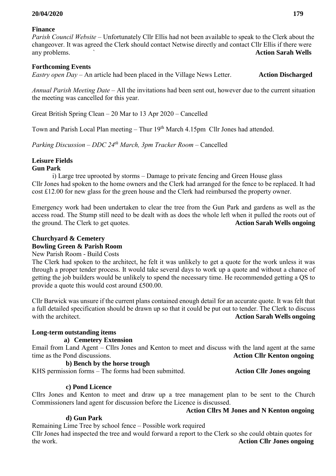#### **20/04/2020 179**

#### **Finance**

*Parish Council Website –* Unfortunately Cllr Ellis had not been available to speak to the Clerk about the changeover. It was agreed the Clerk should contact Netwise directly and contact Cllr Ellis if there were any problems. ` **Action Sarah Wells**

#### **Forthcoming Events**

*Eastry open Day* – An article had been placed in the Village News Letter. **Action Discharged**

*Annual Parish Meeting Date –* All the invitations had been sent out, however due to the current situation the meeting was cancelled for this year.

Great British Spring Clean – 20 Mar to 13 Apr 2020 – Cancelled

Town and Parish Local Plan meeting – Thur 19<sup>th</sup> March 4.15pm Cllr Jones had attended.

*Parking Discussion – DDC 24th March, 3pm Tracker Room –* Cancelled

# **Leisure Fields**

#### **Gun Park**

i) Large tree uprooted by storms – Damage to private fencing and Green House glass Cllr Jones had spoken to the home owners and the Clerk had arranged for the fence to be replaced. It had cost £12.00 for new glass for the green house and the Clerk had reimbursed the property owner.

Emergency work had been undertaken to clear the tree from the Gun Park and gardens as well as the access road. The Stump still need to be dealt with as does the whole left when it pulled the roots out of the ground. The Clerk to get quotes. **Action Sarah Wells ongoing**

#### **Churchyard & Cemetery Bowling Green & Parish Room**

#### New Parish Room - Build Costs

The Clerk had spoken to the architect, he felt it was unlikely to get a quote for the work unless it was through a proper tender process. It would take several days to work up a quote and without a chance of getting the job builders would be unlikely to spend the necessary time. He recommended getting a QS to provide a quote this would cost around £500.00.

Cllr Barwick was unsure if the current plans contained enough detail for an accurate quote. It was felt that a full detailed specification should be drawn up so that it could be put out to tender. The Clerk to discuss with the architect. **Action Sarah Wells ongoing** 

#### **Long-term outstanding items**

#### **a) Cemetery Extension**

Email from Land Agent – Cllrs Jones and Kenton to meet and discuss with the land agent at the same time as the Pond discussions. **Action Cllr Kenton ongoing** 

 **b) Bench by the horse trough**  KHS permission forms – The forms had been submitted. **Action Cllr Jones ongoing** 

#### **c) Pond Licence**

Cllrs Jones and Kenton to meet and draw up a tree management plan to be sent to the Church Commissioners land agent for discussion before the Licence is discussed.

 **Action Cllrs M Jones and N Kenton ongoing** 

#### **d) Gun Park**

Remaining Lime Tree by school fence – Possible work required

Cllr Jones had inspected the tree and would forward a report to the Clerk so she could obtain quotes for the work. **Action Cllr Jones ongoing**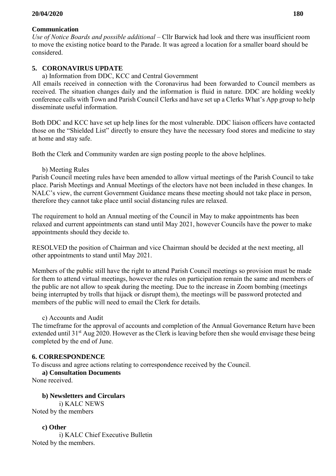## **20/04/2020 180**

#### **Communication**

*Use of Notice Boards and possible additional –* Cllr Barwick had look and there was insufficient room to move the existing notice board to the Parade. It was agreed a location for a smaller board should be considered.

## **5. CORONAVIRUS UPDATE**

a) Information from DDC, KCC and Central Government

All emails received in connection with the Coronavirus had been forwarded to Council members as received. The situation changes daily and the information is fluid in nature. DDC are holding weekly conference calls with Town and Parish Council Clerks and have set up a Clerks What's App group to help disseminate useful information.

Both DDC and KCC have set up help lines for the most vulnerable. DDC liaison officers have contacted those on the "Shielded List" directly to ensure they have the necessary food stores and medicine to stay at home and stay safe.

Both the Clerk and Community warden are sign posting people to the above helplines.

b) Meeting Rules

Parish Council meeting rules have been amended to allow virtual meetings of the Parish Council to take place. Parish Meetings and Annual Meetings of the electors have not been included in these changes. In NALC's view, the current Government Guidance means these meeting should not take place in person, therefore they cannot take place until social distancing rules are relaxed.

The requirement to hold an Annual meeting of the Council in May to make appointments has been relaxed and current appointments can stand until May 2021, however Councils have the power to make appointments should they decide to.

RESOLVED the position of Chairman and vice Chairman should be decided at the next meeting, all other appointments to stand until May 2021.

Members of the public still have the right to attend Parish Council meetings so provision must be made for them to attend virtual meetings, however the rules on participation remain the same and members of the public are not allow to speak during the meeting. Due to the increase in Zoom bombing (meetings being interrupted by trolls that hijack or disrupt them), the meetings will be password protected and members of the public will need to email the Clerk for details.

c) Accounts and Audit

The timeframe for the approval of accounts and completion of the Annual Governance Return have been extended until 31<sup>st</sup> Aug 2020. However as the Clerk is leaving before then she would envisage these being completed by the end of June.

## **6. CORRESPONDENCE**

To discuss and agree actions relating to correspondence received by the Council.

#### **a) Consultation Documents**

None received.

 **b) Newsletters and Circulars**  i) KALC NEWS Noted by the members

 **c) Other**  i) KALC Chief Executive Bulletin Noted by the members.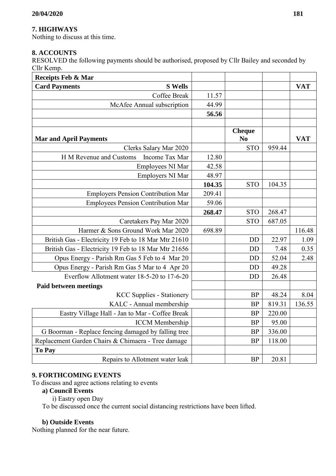# **7. HIGHWAYS**

Nothing to discuss at this time.

## **8. ACCOUNTS**

RESOLVED the following payments should be authorised, proposed by Cllr Bailey and seconded by Cllr Kemp.

| Receipts Feb & Mar                                   |        |                                 |        |            |
|------------------------------------------------------|--------|---------------------------------|--------|------------|
| <b>S</b> Wells<br><b>Card Payments</b>               |        |                                 |        | <b>VAT</b> |
| Coffee Break                                         | 11.57  |                                 |        |            |
| McAfee Annual subscription                           | 44.99  |                                 |        |            |
|                                                      | 56.56  |                                 |        |            |
|                                                      |        |                                 |        |            |
| <b>Mar and April Payments</b>                        |        | <b>Cheque</b><br>N <sub>0</sub> |        | <b>VAT</b> |
| Clerks Salary Mar 2020                               |        | <b>STO</b>                      | 959.44 |            |
| H M Revenue and Customs<br>Income Tax Mar            | 12.80  |                                 |        |            |
| Employees NI Mar                                     | 42.58  |                                 |        |            |
| Employers NI Mar                                     | 48.97  |                                 |        |            |
|                                                      | 104.35 | <b>STO</b>                      | 104.35 |            |
| <b>Employers Pension Contribution Mar</b>            | 209.41 |                                 |        |            |
| <b>Employees Pension Contribution Mar</b>            | 59.06  |                                 |        |            |
|                                                      | 268.47 | <b>STO</b>                      | 268.47 |            |
| Caretakers Pay Mar 2020                              |        | <b>STO</b>                      | 687.05 |            |
| Harmer & Sons Ground Work Mar 2020                   | 698.89 |                                 |        | 116.48     |
| British Gas - Electricity 19 Feb to 18 Mar Mtr 21610 |        | <b>DD</b>                       | 22.97  | 1.09       |
| British Gas - Electricity 19 Feb to 18 Mar Mtr 21656 |        | <b>DD</b>                       | 7.48   | 0.35       |
| Opus Energy - Parish Rm Gas 5 Feb to 4 Mar 20        |        | <b>DD</b>                       | 52.04  | 2.48       |
| Opus Energy - Parish Rm Gas 5 Mar to 4 Apr 20        |        | <b>DD</b>                       | 49.28  |            |
| Everflow Allotment water 18-5-20 to 17-6-20          |        | <b>DD</b>                       | 26.48  |            |
| <b>Paid between meetings</b>                         |        |                                 |        |            |
| <b>KCC Supplies - Stationery</b>                     |        | <b>BP</b>                       | 48.24  | 8.04       |
| KALC - Annual membership                             |        | <b>BP</b>                       | 819.31 | 136.55     |
| Eastry Village Hall - Jan to Mar - Coffee Break      |        | <b>BP</b>                       | 220.00 |            |
| <b>ICCM</b> Membership                               |        | <b>BP</b>                       | 95.00  |            |
| G Boorman - Replace fencing damaged by falling tree  |        | <b>BP</b>                       | 336.00 |            |
| Replacement Garden Chairs & Chimaera - Tree damage   |        | <b>BP</b>                       | 118.00 |            |
| To Pay                                               |        |                                 |        |            |
| Repairs to Allotment water leak                      |        | <b>BP</b>                       | 20.81  |            |

## **9. FORTHCOMING EVENTS**

To discuss and agree actions relating to events

#### **a) Council Events**

i) Eastry open Day

To be discussed once the current social distancing restrictions have been lifted.

#### **b) Outside Events**

Nothing planned for the near future.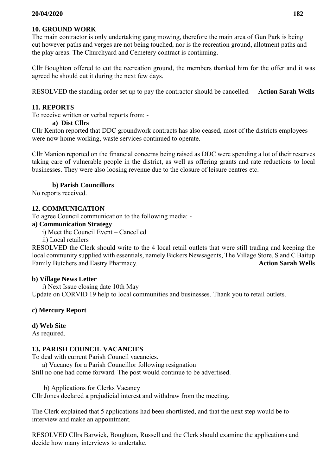# **10. GROUND WORK**

The main contractor is only undertaking gang mowing, therefore the main area of Gun Park is being cut however paths and verges are not being touched, nor is the recreation ground, allotment paths and the play areas. The Churchyard and Cemetery contract is continuing.

Cllr Boughton offered to cut the recreation ground, the members thanked him for the offer and it was agreed he should cut it during the next few days.

RESOLVED the standing order set up to pay the contractor should be cancelled. **Action Sarah Wells**

# **11. REPORTS**

To receive written or verbal reports from: -

## **a) Dist Cllrs**

Cllr Kenton reported that DDC groundwork contracts has also ceased, most of the districts employees were now home working, waste services continued to operate.

Cllr Manion reported on the financial concerns being raised as DDC were spending a lot of their reserves taking care of vulnerable people in the district, as well as offering grants and rate reductions to local businesses. They were also loosing revenue due to the closure of leisure centres etc.

## **b) Parish Councillors**

No reports received.

## **12. COMMUNICATION**

To agree Council communication to the following media: -

## **a) Communication Strategy**

i) Meet the Council Event – Cancelled

ii) Local retailers

RESOLVED the Clerk should write to the 4 local retail outlets that were still trading and keeping the local community supplied with essentials, namely Bickers Newsagents, The Village Store, S and C Baitup Family Butchers and Eastry Pharmacy. **Action Sarah Wells** 

## **b) Village News Letter**

 i) Next Issue closing date 10th May Update on CORVID 19 help to local communities and businesses. Thank you to retail outlets.

# **c) Mercury Report**

## **d) Web Site**

As required.

# **13. PARISH COUNCIL VACANCIES**

To deal with current Parish Council vacancies.

a) Vacancy for a Parish Councillor following resignation

Still no one had come forward. The post would continue to be advertised.

b) Applications for Clerks Vacancy

Cllr Jones declared a prejudicial interest and withdraw from the meeting.

The Clerk explained that 5 applications had been shortlisted, and that the next step would be to interview and make an appointment.

RESOLVED Cllrs Barwick, Boughton, Russell and the Clerk should examine the applications and decide how many interviews to undertake.